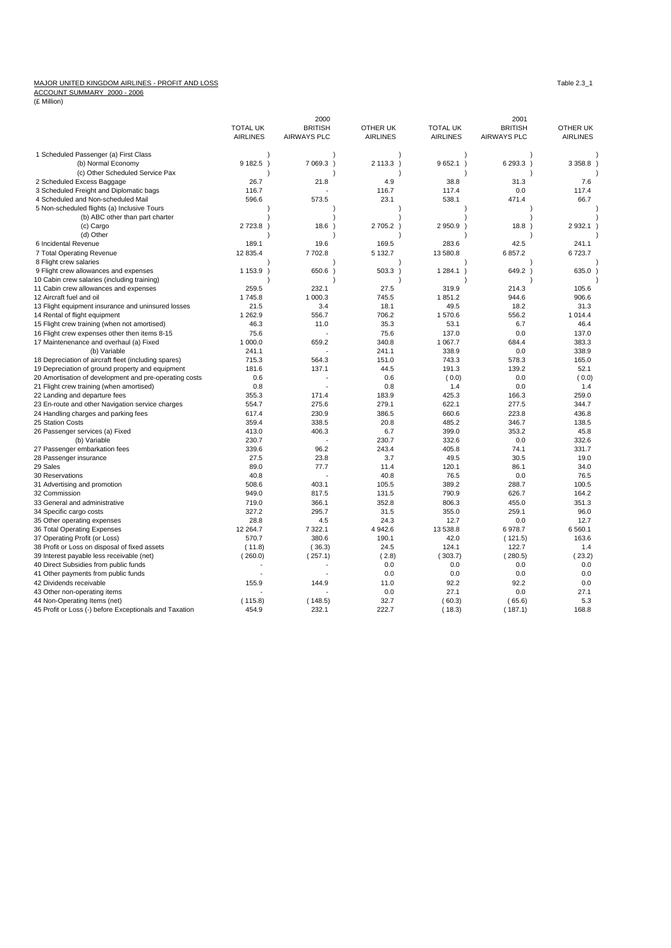## MAJOR UNITED KINGDOM AIRLINES - PROFIT AND LOSS<br>ACCOUNT SUMMARY 2000 - 2006<br>(£ Million)

|                                                                                    |                 | 2000               |                 |                 | 2001               |                 |
|------------------------------------------------------------------------------------|-----------------|--------------------|-----------------|-----------------|--------------------|-----------------|
|                                                                                    | <b>TOTAL UK</b> | <b>BRITISH</b>     | OTHER UK        | <b>TOTAL UK</b> | <b>BRITISH</b>     | OTHER UK        |
|                                                                                    | <b>AIRLINES</b> | <b>AIRWAYS PLC</b> | <b>AIRLINES</b> | <b>AIRLINES</b> | <b>AIRWAYS PLC</b> | <b>AIRLINES</b> |
| 1 Scheduled Passenger (a) First Class                                              |                 |                    |                 |                 |                    |                 |
| (b) Normal Economy                                                                 | 9 182.5 )       | 7 0 69.3           | 2 113.3 )       | 9652.1          | 6 293.3 )          | 3 3 5 8.8       |
| (c) Other Scheduled Service Pax                                                    |                 |                    |                 |                 |                    |                 |
| 2 Scheduled Excess Baggage                                                         | 26.7            | 21.8               | 4.9             | 38.8            | 31.3               | 7.6             |
| 3 Scheduled Freight and Diplomatic bags                                            | 116.7           |                    | 116.7           | 117.4           | 0.0                | 117.4           |
| 4 Scheduled and Non-scheduled Mail                                                 | 596.6           | 573.5              | 23.1            | 538.1           | 471.4              | 66.7            |
| 5 Non-scheduled flights (a) Inclusive Tours                                        |                 |                    |                 |                 |                    |                 |
| (b) ABC other than part charter                                                    |                 |                    |                 |                 |                    |                 |
| (c) Cargo                                                                          | 2 723.8         | 18.6               | 2705.2)         | 2950.9          | 18.8               | 2 9 3 2.1       |
| (d) Other                                                                          |                 |                    |                 |                 |                    |                 |
| 6 Incidental Revenue                                                               | 189.1           | 19.6               | 169.5           | 283.6           | 42.5               | 241.1           |
| 7 Total Operating Revenue                                                          | 12 835.4        | 7702.8             | 5 132.7         | 13 580.8        | 6857.2             | 6723.7          |
| 8 Flight crew salaries                                                             |                 |                    |                 |                 |                    |                 |
| 9 Flight crew allowances and expenses                                              | 1 1 5 3 . 9     | 650.6              | $503.3$ )       | 1 284.1         | 649.2 )            | 635.0           |
| 10 Cabin crew salaries (including training)                                        |                 |                    |                 |                 |                    |                 |
|                                                                                    | 259.5           | 232.1              | 27.5            | 319.9           | 214.3              | 105.6           |
| 11 Cabin crew allowances and expenses                                              |                 |                    |                 |                 |                    |                 |
| 12 Aircraft fuel and oil                                                           | 1745.8          | 1 000.3            | 745.5           | 1851.2          | 944.6              | 906.6           |
| 13 Flight equipment insurance and uninsured losses                                 | 21.5            | 3.4                | 18.1            | 49.5            | 18.2               | 31.3            |
| 14 Rental of flight equipment                                                      | 1 2 6 2.9       | 556.7              | 706.2           | 1570.6          | 556.2              | 1014.4          |
| 15 Flight crew training (when not amortised)                                       | 46.3            | 11.0               | 35.3            | 53.1            | 6.7                | 46.4            |
| 16 Flight crew expenses other then items 8-15                                      | 75.6            |                    | 75.6            | 137.0           | 0.0                | 137.0           |
| 17 Maintenenance and overhaul (a) Fixed                                            | 1 000.0         | 659.2              | 340.8           | 1 067.7         | 684.4              | 383.3           |
| (b) Variable                                                                       | 241.1           |                    | 241.1           | 338.9           | 0.0                | 338.9           |
| 18 Depreciation of aircraft fleet (including spares)                               | 715.3           | 564.3              | 151.0           | 743.3           | 578.3              | 165.0           |
| 19 Depreciation of ground property and equipment                                   | 181.6           | 137.1              | 44.5            | 191.3           | 139.2              | 52.1            |
| 20 Amortisation of development and pre-operating costs                             | 0.6             |                    | 0.6             | (0.0)           | 0.0                | (0.0)           |
| 21 Flight crew training (when amortised)                                           | 0.8             |                    | 0.8             | 1.4             | 0.0                | 1.4             |
| 22 Landing and departure fees                                                      | 355.3           | 171.4              | 183.9           | 425.3           | 166.3              | 259.0           |
| 23 En-route and other Navigation service charges                                   | 554.7           | 275.6              | 279.1           | 622.1           | 277.5              | 344.7           |
| 24 Handling charges and parking fees                                               | 617.4           | 230.9              | 386.5           | 660.6           | 223.8              | 436.8           |
| 25 Station Costs                                                                   | 359.4           | 338.5              | 20.8            | 485.2           | 346.7              | 138.5           |
| 26 Passenger services (a) Fixed                                                    | 413.0           | 406.3              | 6.7             | 399.0           | 353.2              | 45.8            |
| (b) Variable                                                                       | 230.7           |                    | 230.7           | 332.6           | 0.0                | 332.6           |
| 27 Passenger embarkation fees                                                      | 339.6           | 96.2               | 243.4           | 405.8           | 74.1               | 331.7           |
| 28 Passenger insurance                                                             | 27.5            | 23.8               | 3.7             | 49.5            | 30.5               | 19.0            |
| 29 Sales                                                                           | 89.0            | 77.7               | 11.4            | 120.1           | 86.1               | 34.0            |
| 30 Reservations                                                                    | 40.8            |                    | 40.8            | 76.5            | 0.0                | 76.5            |
| 31 Advertising and promotion                                                       | 508.6           | 403.1              | 105.5           | 389.2           | 288.7              | 100.5           |
| 32 Commission                                                                      | 949.0           | 817.5              | 131.5           | 790.9           | 626.7              | 164.2           |
| 33 General and administrative                                                      | 719.0           | 366.1              | 352.8           | 806.3           | 455.0              | 351.3           |
| 34 Specific cargo costs                                                            | 327.2           | 295.7              | 31.5            | 355.0           | 259.1              | 96.0            |
| 35 Other operating expenses                                                        | 28.8            | 4.5                | 24.3            | 12.7            | 0.0                | 12.7            |
| 36 Total Operating Expenses                                                        | 12 264.7        | 7 3 2 2.1          | 4 942.6         | 13 538.8        | 6978.7             | 6 5 6 0.1       |
| 37 Operating Profit (or Loss)                                                      | 570.7           | 380.6              | 190.1           | 42.0            | (121.5)            | 163.6           |
| 38 Profit or Loss on disposal of fixed assets                                      | (11.8)          | (36.3)             | 24.5            | 124.1           | 122.7              | 1.4             |
|                                                                                    | (260.0)         |                    | (2.8)           |                 | (280.5)            |                 |
| 39 Interest payable less receivable (net)<br>40 Direct Subsidies from public funds |                 | (257.1)            | 0.0             | (303.7)<br>0.0  | 0.0                | (23.2)<br>0.0   |
|                                                                                    |                 |                    |                 |                 |                    |                 |
| 41 Other payments from public funds                                                |                 |                    | 0.0             | 0.0             | 0.0                | 0.0<br>0.0      |
| 42 Dividends receivable                                                            | 155.9           | 144.9              | 11.0            | 92.2            | 92.2               |                 |
| 43 Other non-operating items                                                       |                 |                    | 0.0             | 27.1            | 0.0                | 27.1            |
| 44 Non-Operating Items (net)                                                       | (115.8)         | (148.5)            | 32.7            | (60.3)          | (65.6)             | 5.3             |
| 45 Profit or Loss (-) before Exceptionals and Taxation                             | 454.9           | 232.1              | 222.7           | (18.3)          | (187.1)            | 168.8           |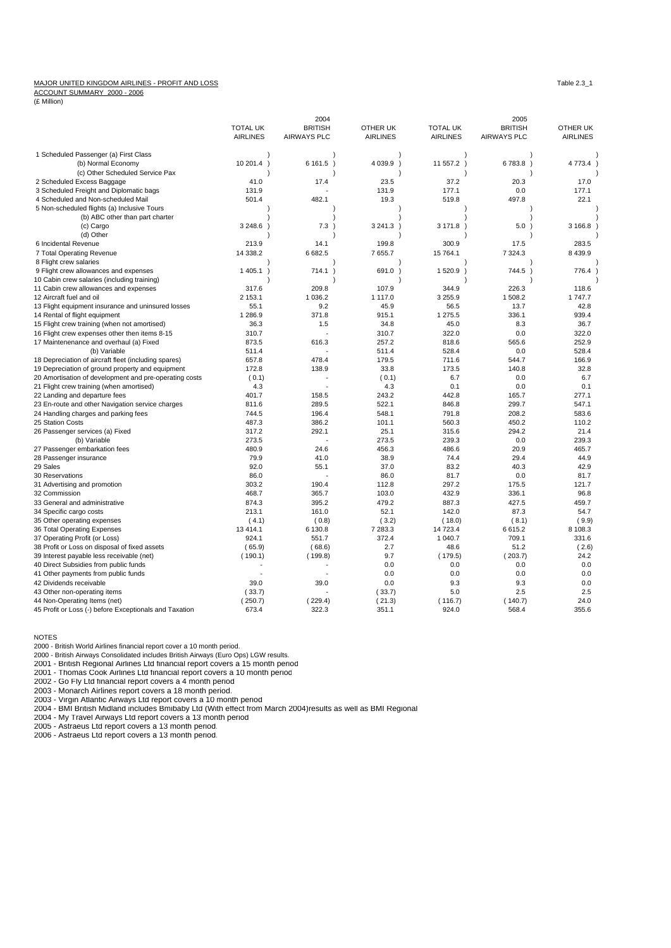## MAJOR UNITED KINGDOM AIRLINES - PROFIT AND LOSS TAble 2.3\_1

ACCOUNT SUMMARY 2000 - 2006

(£ Million)

|                                                        |                            | 2004               |                 |                 | 2005               |                 |
|--------------------------------------------------------|----------------------------|--------------------|-----------------|-----------------|--------------------|-----------------|
|                                                        | <b>TOTAL UK</b>            | <b>BRITISH</b>     | OTHER UK        | <b>TOTAL UK</b> | <b>BRITISH</b>     | OTHER UK        |
|                                                        | <b>AIRLINES</b>            | <b>AIRWAYS PLC</b> | <b>AIRLINES</b> | <b>AIRLINES</b> | <b>AIRWAYS PLC</b> | <b>AIRLINES</b> |
| 1 Scheduled Passenger (a) First Class                  |                            |                    |                 |                 |                    |                 |
| (b) Normal Economy                                     | 10 201.4<br>$\lambda$      | 6161.5             | 4 0 39.9 )      | 11 557.2 )      | 6783.8             | 4 773.4         |
| (c) Other Scheduled Service Pax                        |                            |                    |                 |                 |                    |                 |
| 2 Scheduled Excess Baggage                             | 41.0                       | 17.4               | 23.5            | 37.2            | 20.3               | 17.0            |
| 3 Scheduled Freight and Diplomatic bags                | 131.9                      |                    | 131.9           | 177.1           | 0.0                | 177.1           |
| 4 Scheduled and Non-scheduled Mail                     | 501.4                      | 482.1              | 19.3            | 519.8           | 497.8              | 22.1            |
| 5 Non-scheduled flights (a) Inclusive Tours            |                            |                    |                 |                 |                    |                 |
| (b) ABC other than part charter                        |                            |                    |                 |                 |                    |                 |
| (c) Cargo                                              | 3 2 4 8 . 6                | 7.3                | 3 241.3 )       | 3 171.8         | 5.0                | 3 166.8         |
| (d) Other                                              |                            |                    |                 |                 |                    |                 |
| 6 Incidental Revenue                                   | 213.9                      | 14.1               | 199.8           | 300.9           | 17.5               | 283.5           |
|                                                        | 14 338.2                   |                    |                 | 15 764.1        |                    |                 |
| 7 Total Operating Revenue                              |                            | 6 682.5            | 7 655.7         |                 | 7 3 2 4 . 3        | 8 4 3 9.9       |
| 8 Flight crew salaries                                 |                            |                    |                 |                 |                    |                 |
| 9 Flight crew allowances and expenses                  | 1 4 0 5.1<br>$\rightarrow$ | 714.1              | 691.0<br>J.     | 1 520.9 )       | 744.5)             | 776.4           |
| 10 Cabin crew salaries (including training)            |                            |                    |                 |                 |                    |                 |
| 11 Cabin crew allowances and expenses                  | 317.6                      | 209.8              | 107.9           | 344.9           | 226.3              | 118.6           |
| 12 Aircraft fuel and oil                               | 2 153.1                    | 1 0 3 6.2          | 1 1 1 7 .0      | 3 2 5 5.9       | 1 508.2            | 1 747.7         |
| 13 Flight equipment insurance and uninsured losses     | 55.1                       | 9.2                | 45.9            | 56.5            | 13.7               | 42.8            |
| 14 Rental of flight equipment                          | 1 2 8 6.9                  | 371.8              | 915.1           | 1 275.5         | 336.1              | 939.4           |
| 15 Flight crew training (when not amortised)           | 36.3                       | 1.5                | 34.8            | 45.0            | 8.3                | 36.7            |
| 16 Flight crew expenses other then items 8-15          | 310.7                      |                    | 310.7           | 322.0           | 0.0                | 322.0           |
| 17 Maintenenance and overhaul (a) Fixed                | 873.5                      | 616.3              | 257.2           | 818.6           | 565.6              | 252.9           |
| (b) Variable                                           | 511.4                      |                    | 511.4           | 528.4           | 0.0                | 528.4           |
| 18 Depreciation of aircraft fleet (including spares)   | 657.8                      | 478.4              | 179.5           | 711.6           | 544.7              | 166.9           |
| 19 Depreciation of ground property and equipment       | 172.8                      | 138.9              | 33.8            | 173.5           | 140.8              | 32.8            |
| 20 Amortisation of development and pre-operating costs | (0.1)                      |                    | (0.1)           | 6.7             | 0.0                | 6.7             |
| 21 Flight crew training (when amortised)               | 4.3                        |                    | 4.3             | 0.1             | 0.0                | 0.1             |
| 22 Landing and departure fees                          | 401.7                      | 158.5              | 243.2           | 442.8           | 165.7              | 277.1           |
| 23 En-route and other Navigation service charges       | 811.6                      | 289.5              | 522.1           | 846.8           | 299.7              | 547.1           |
| 24 Handling charges and parking fees                   | 744.5                      | 196.4              | 548.1           | 791.8           | 208.2              | 583.6           |
| 25 Station Costs                                       | 487.3                      | 386.2              | 101.1           | 560.3           | 450.2              | 110.2           |
| 26 Passenger services (a) Fixed                        | 317.2                      | 292.1              | 25.1            | 315.6           | 294.2              | 21.4            |
| (b) Variable                                           | 273.5                      |                    | 273.5           | 239.3           | 0.0                | 239.3           |
| 27 Passenger embarkation fees                          | 480.9                      | 24.6               | 456.3           | 486.6           | 20.9               | 465.7           |
| 28 Passenger insurance                                 | 79.9                       | 41.0               | 38.9            | 74.4            | 29.4               | 44.9            |
| 29 Sales                                               | 92.0                       | 55.1               | 37.0            | 83.2            | 40.3               | 42.9            |
| 30 Reservations                                        | 86.0                       |                    | 86.0            | 81.7            | 0.0                | 81.7            |
| 31 Advertising and promotion                           | 303.2                      | 190.4              | 112.8           | 297.2           | 175.5              | 121.7           |
| 32 Commission                                          | 468.7                      | 365.7              | 103.0           | 432.9           | 336.1              | 96.8            |
| 33 General and administrative                          | 874.3                      | 395.2              | 479.2           | 887.3           | 427.5              | 459.7           |
| 34 Specific cargo costs                                | 213.1                      | 161.0              | 52.1            | 142.0           | 87.3               | 54.7            |
| 35 Other operating expenses                            | (4.1)                      | (0.8)              | (3.2)           | (18.0)          | (8.1)              | (9.9)           |
| 36 Total Operating Expenses                            | 13 4 14.1                  | 6 130.8            | 7 283.3         | 14 723.4        | 6615.2             | 8 108.3         |
| 37 Operating Profit (or Loss)                          | 924.1                      | 551.7              | 372.4           | 1 040.7         | 709.1              | 331.6           |
|                                                        |                            | (68.6)             | 2.7             | 48.6            | 51.2               |                 |
| 38 Profit or Loss on disposal of fixed assets          | (65.9)                     |                    |                 |                 |                    | (2.6)           |
| 39 Interest payable less receivable (net)              | (190.1)                    | (199.8)            | 9.7             | (179.5)         | (203.7)            | 24.2            |
| 40 Direct Subsidies from public funds                  |                            |                    | 0.0             | 0.0             | 0.0                | 0.0             |
| 41 Other payments from public funds                    |                            |                    | 0.0             | 0.0             | 0.0                | 0.0             |
| 42 Dividends receivable                                | 39.0                       | 39.0               | 0.0             | 9.3             | 9.3                | 0.0             |
| 43 Other non-operating items                           | (33.7)                     |                    | (33.7)          | 5.0             | 2.5                | 2.5             |
| 44 Non-Operating Items (net)                           | (250.7)                    | (229.4)            | (21.3)          | (116.7)         | (140.7)            | 24.0            |
| 45 Profit or Loss (-) before Exceptionals and Taxation | 673.4                      | 322.3              | 351.1           | 924.0           | 568.4              | 355.6           |

NOTES

2000 - British World Airlines financial report cover a 10 month period. 2000 - British Airways Consolidated includes British Airways (Euro Ops) LGW results.

2001 - British Regional Airlines Ltd financial report covers a 15 month period

2001 - Thomas Cook Airlines Ltd financial report covers a 10 month period

2002 - Go Fly Ltd financial report covers a 4 month period<br>2003 - Monarch Airlines report covers a 18 month period.<br>2003 - Virgin Atlantic Airways Ltd report covers a 10 month period<br>2004 - BMI British Midland includes Bmi

2004 - My Travel Airways Ltd report covers a 13 month period

2005 - Astraeus Ltd report covers a 13 month period. 2006 - Astraeus Ltd report covers a 13 month period.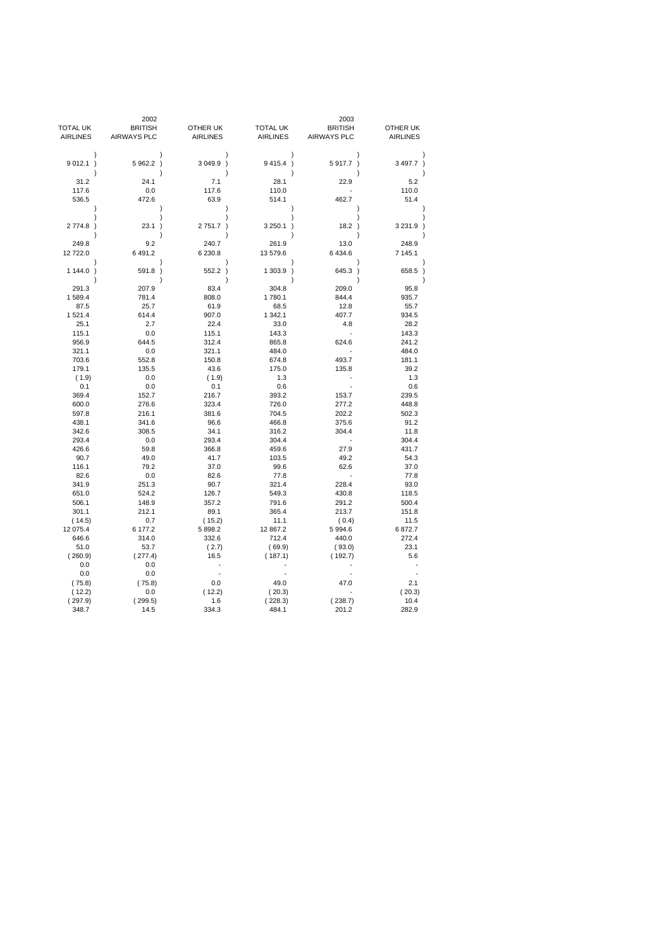|                         | 2002               |                 |                          | 2003               |                 |
|-------------------------|--------------------|-----------------|--------------------------|--------------------|-----------------|
| <b>TOTAL UK</b>         | <b>BRITISH</b>     | OTHER UK        | <b>TOTAL UK</b>          | <b>BRITISH</b>     | OTHER UK        |
| <b>AIRLINES</b>         | <b>AIRWAYS PLC</b> | <b>AIRLINES</b> | <b>AIRLINES</b>          | <b>AIRWAYS PLC</b> | <b>AIRLINES</b> |
| $\lambda$               |                    |                 | $\lambda$                |                    |                 |
| 9012.1)<br>$\lambda$    | 5 962.2 )          | 3 049.9 )       | 9 4 1 5.4 )<br>$\lambda$ | 5917.7)            | 3 497.7 )       |
| 31.2                    | 24.1               | 7.1             | 28.1                     | 22.9               | 5.2             |
| 117.6                   | 0.0                | 117.6           | 110.0                    |                    | 110.0           |
| 536.5<br>$\mathcal{E}$  | 472.6              | 63.9            | 514.1                    | 462.7              | 51.4            |
|                         |                    |                 |                          |                    |                 |
| 2774.8)                 | 23.1<br>$\lambda$  | 2751.7)         | 3 250.1<br>$\lambda$     | 18.2)              | 3 2 3 1.9 )     |
| 249.8                   | 9.2                | 240.7           | 261.9                    | 13.0               | 248.9           |
| 12 722.0                | 6 491.2            | 6 230.8         | 13 579.6                 | 6 4 3 4.6          | 7 145.1         |
| $\lambda$<br>$1144.0$ ) | 591.8<br>$\lambda$ | 552.2           | $\lambda$<br>$1303.9$ )  | $645.3$ )          | 658.5           |
| $\lambda$               |                    |                 | ١                        | ١                  |                 |
| 291.3                   | 207.9              | 83.4            | 304.8                    | 209.0              | 95.8            |
| 1589.4                  | 781.4              | 808.0           | 1780.1                   | 844.4              | 935.7           |
| 87.5                    | 25.7               | 61.9            | 68.5                     | 12.8               | 55.7            |
| 1521.4                  | 614.4              | 907.0           | 1 342.1                  | 407.7              | 934.5           |
| 25.1                    | 2.7                | 22.4            | 33.0                     | 4.8                | 28.2            |
| 115.1                   | 0.0                | 115.1           | 143.3                    | L.                 | 143.3           |
| 956.9                   | 644.5              | 312.4           | 865.8                    | 624.6              | 241.2           |
| 321.1                   | 0.0                | 321.1           | 484.0                    |                    | 484.0           |
| 703.6                   | 552.8              | 150.8           | 674.8                    | 493.7              | 181.1           |
| 179.1                   | 135.5              | 43.6            | 175.0                    | 135.8              | 39.2            |
| (1.9)                   | 0.0                | (1.9)           | 1.3                      |                    | 1.3             |
| 0.1                     | 0.0                | 0.1             | 0.6                      |                    | 0.6             |
| 369.4                   | 152.7              | 216.7           | 393.2                    | 153.7              | 239.5           |
| 600.0                   | 276.6              | 323.4           | 726.0                    | 277.2              | 448.8           |
| 597.8                   | 216.1              | 381.6           | 704.5                    | 202.2              | 502.3           |
| 438.1                   | 341.6              | 96.6            | 466.8                    | 375.6<br>304.4     | 91.2            |
| 342.6<br>293.4          | 308.5<br>0.0       | 34.1            | 316.2                    |                    | 11.8            |
| 426.6                   | 59.8               | 293.4<br>366.8  | 304.4<br>459.6           | 27.9               | 304.4<br>431.7  |
| 90.7                    | 49.0               | 41.7            | 103.5                    | 49.2               | 54.3            |
| 116.1                   | 79.2               | 37.0            | 99.6                     | 62.6               | 37.0            |
| 82.6                    | 0.0                | 82.6            | 77.8                     | ÷,                 | 77.8            |
| 341.9                   | 251.3              | 90.7            | 321.4                    | 228.4              | 93.0            |
| 651.0                   | 524.2              | 126.7           | 549.3                    | 430.8              | 118.5           |
| 506.1                   | 148.9              | 357.2           | 791.6                    | 291.2              | 500.4           |
| 301.1                   | 212.1              | 89.1            | 365.4                    | 213.7              | 151.8           |
| (14.5)                  | 0.7                | (15.2)          | 11.1                     | (0.4)              | 11.5            |
| 12 075.4                | 6 177.2            | 5 898.2         | 12 867.2                 | 5 9 9 4.6          | 6872.7          |
| 646.6                   | 314.0              | 332.6           | 712.4                    | 440.0              | 272.4           |
| 51.0                    | 53.7               | (2.7)           | (69.9)                   | (93.0)             | 23.1            |
| (260.9)                 | (277.4)            | 16.5            | (187.1)                  | (192.7)            | 5.6             |
| 0.0                     | 0.0                |                 |                          |                    |                 |
| 0.0                     | 0.0                |                 |                          |                    |                 |
| (75.8)                  | (75.8)             | 0.0             | 49.0                     | 47.0               | 2.1             |
| (12.2)                  | 0.0                | (12.2)          | (20.3)                   |                    | (20.3)          |
| (297.9)                 | (299.5)            | 1.6             | (228.3)                  | (238.7)            | 10.4            |
| 348.7                   | 14.5               | 334.3           | 484.1                    | 201.2              | 282.9           |